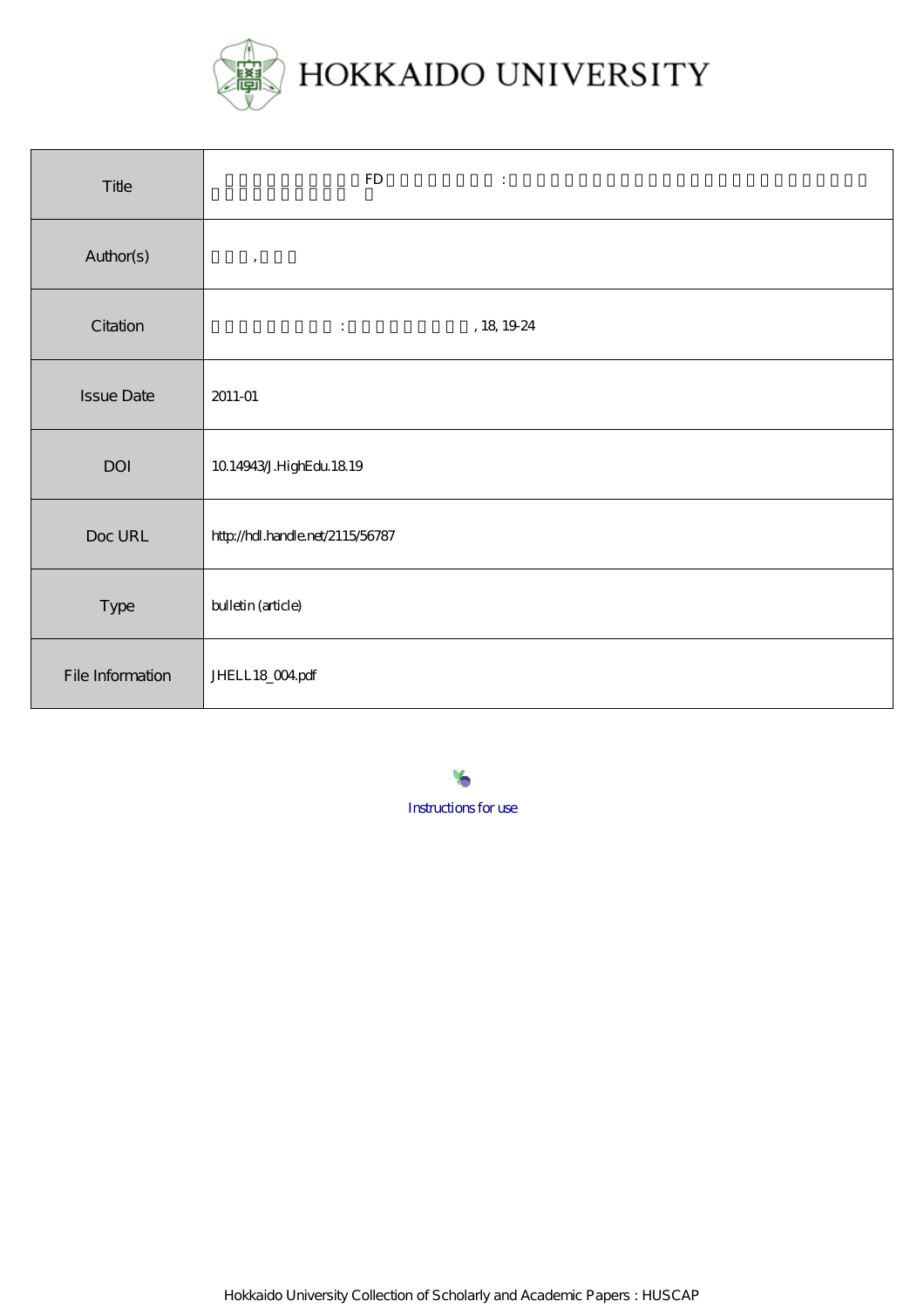

| Title             | ${\rm FD}$<br>$\ddot{\cdot}$                           |
|-------------------|--------------------------------------------------------|
| Author(s)         | $\,$ ,                                                 |
| Citation          | , 18 $19.24$<br>$\mathbb{E}[\mathcal{E}(\mathcal{E})]$ |
| <b>Issue Date</b> | 2011-01                                                |
| DOI               | 10.14943/J.HighEdu 18.19                               |
| Doc URL           | http://hdl.handle.net/2115/56787                       |
| Type              | bulletin (article)                                     |
| File Information  | JHELL18_004pdf                                         |

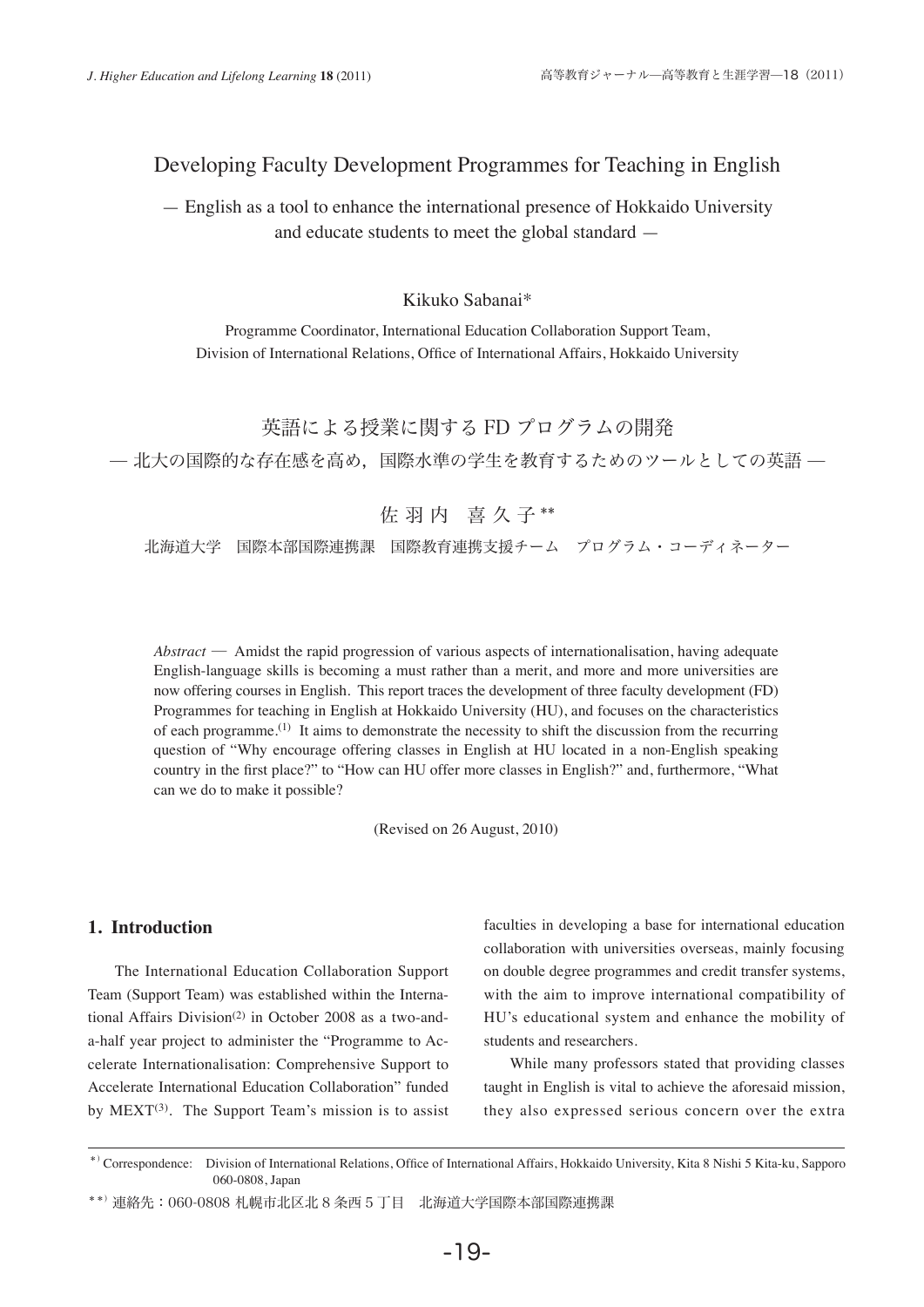# Developing Faculty Development Programmes for Teaching in English

— English as a tool to enhance the international presence of Hokkaido University and educate students to meet the global standard —

## Kikuko Sabanai\*

Programme Coordinator, International Education Collaboration Support Team, Division of International Relations, Office of International Affairs, Hokkaido University

```
英語による授業に関する FD プログラムの開発
```
̶ 北大の国際的な存在感を高め,国際水準の学生を教育するためのツールとしての英語 ̶

佐羽内 喜久子\*\*

北海道大学 国際本部国際連携課 国際教育連携支援チーム プログラム・コーディネーター

*Abstract* ─ Amidst the rapid progression of various aspects of internationalisation, having adequate English-language skills is becoming a must rather than a merit, and more and more universities are now offering courses in English. This report traces the development of three faculty development (FD) Programmes for teaching in English at Hokkaido University (HU), and focuses on the characteristics of each programme.(1) It aims to demonstrate the necessity to shift the discussion from the recurring question of "Why encourage offering classes in English at HU located in a non-English speaking country in the first place?" to "How can HU offer more classes in English?" and, furthermore, "What can we do to make it possible?

(Revised on 26 August, 2010)

## **1. Introduction**

 The International Education Collaboration Support Team (Support Team) was established within the International Affairs Division<sup>(2)</sup> in October 2008 as a two-anda-half year project to administer the "Programme to Accelerate Internationalisation: Comprehensive Support to Accelerate International Education Collaboration" funded by  $MEXT^{(3)}$ . The Support Team's mission is to assist faculties in developing a base for international education collaboration with universities overseas, mainly focusing on double degree programmes and credit transfer systems, with the aim to improve international compatibility of HU's educational system and enhance the mobility of students and researchers.

 While many professors stated that providing classes taught in English is vital to achieve the aforesaid mission, they also expressed serious concern over the extra

<sup>\*)</sup> Correspondence: Division of International Relations, Office of International Affairs, Hokkaido University, Kita 8 Nishi 5 Kita-ku, Sapporo 060-0808, Japan

<sup>\*\*)</sup>連絡先:060-0808 札幌市北区北 8 条西 5 丁目 北海道大学国際本部国際連携課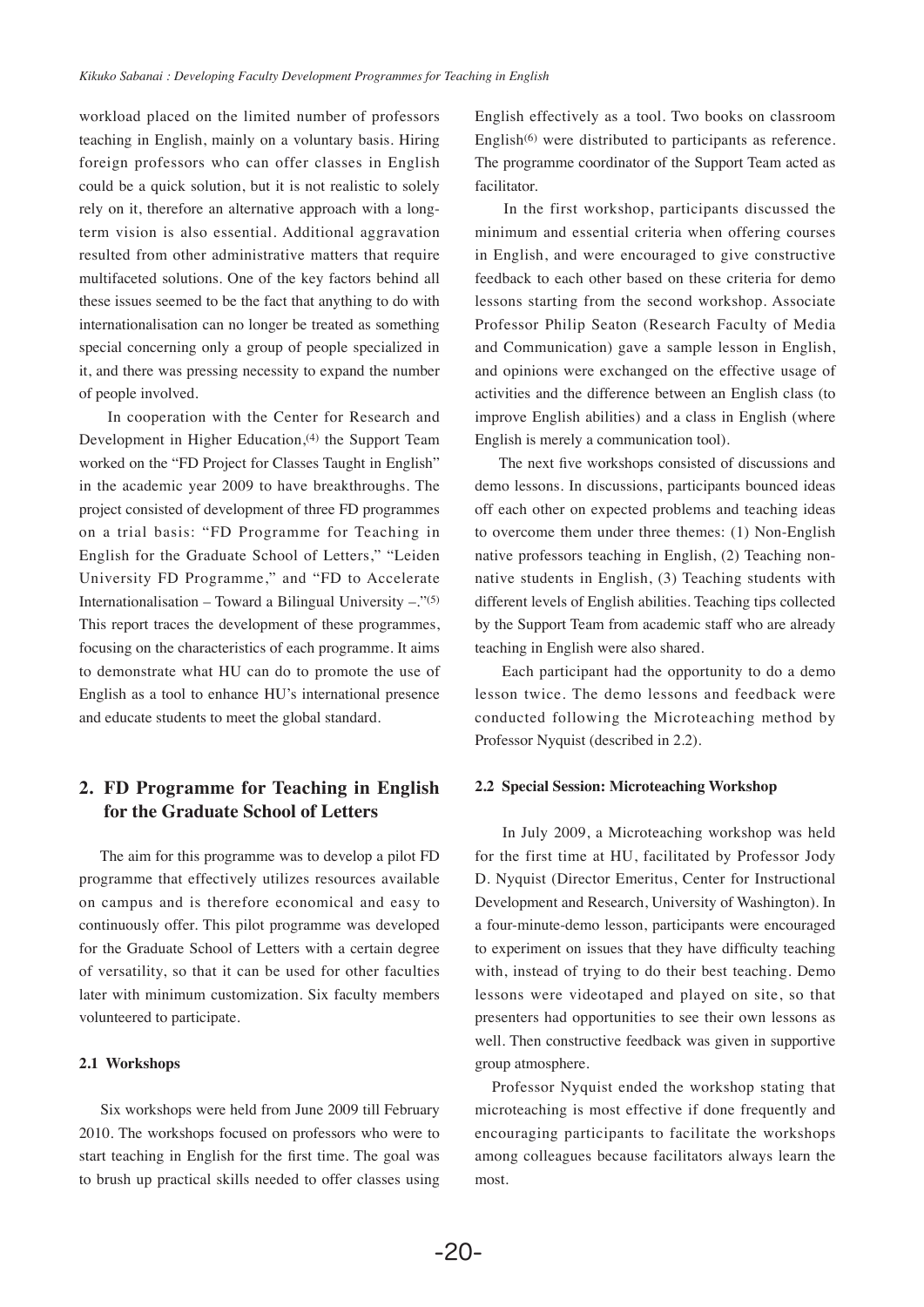workload placed on the limited number of professors teaching in English, mainly on a voluntary basis. Hiring foreign professors who can offer classes in English could be a quick solution, but it is not realistic to solely rely on it, therefore an alternative approach with a longterm vision is also essential. Additional aggravation resulted from other administrative matters that require multifaceted solutions. One of the key factors behind all these issues seemed to be the fact that anything to do with internationalisation can no longer be treated as something special concerning only a group of people specialized in it, and there was pressing necessity to expand the number of people involved.

 In cooperation with the Center for Research and Development in Higher Education,<sup>(4)</sup> the Support Team worked on the "FD Project for Classes Taught in English" in the academic year 2009 to have breakthroughs. The project consisted of development of three FD programmes on a trial basis: "FD Programme for Teaching in English for the Graduate School of Letters," "Leiden University FD Programme," and "FD to Accelerate Internationalisation – Toward a Bilingual University –." $(5)$ This report traces the development of these programmes, focusing on the characteristics of each programme. It aims to demonstrate what HU can do to promote the use of English as a tool to enhance HU's international presence and educate students to meet the global standard.

# **2. FD Programme for Teaching in English for the Graduate School of Letters**

 The aim for this programme was to develop a pilot FD programme that effectively utilizes resources available on campus and is therefore economical and easy to continuously offer. This pilot programme was developed for the Graduate School of Letters with a certain degree of versatility, so that it can be used for other faculties later with minimum customization. Six faculty members volunteered to participate.

#### **2.1 Workshops**

 Six workshops were held from June 2009 till February 2010. The workshops focused on professors who were to start teaching in English for the first time. The goal was to brush up practical skills needed to offer classes using English effectively as a tool. Two books on classroom English(6) were distributed to participants as reference. The programme coordinator of the Support Team acted as facilitator.

 In the first workshop, participants discussed the minimum and essential criteria when offering courses in English, and were encouraged to give constructive feedback to each other based on these criteria for demo lessons starting from the second workshop. Associate Professor Philip Seaton (Research Faculty of Media and Communication) gave a sample lesson in English, and opinions were exchanged on the effective usage of activities and the difference between an English class (to improve English abilities) and a class in English (where English is merely a communication tool).

The next five workshops consisted of discussions and demo lessons. In discussions, participants bounced ideas off each other on expected problems and teaching ideas to overcome them under three themes: (1) Non-English native professors teaching in English, (2) Teaching nonnative students in English, (3) Teaching students with different levels of English abilities. Teaching tips collected by the Support Team from academic staff who are already teaching in English were also shared.

 Each participant had the opportunity to do a demo lesson twice. The demo lessons and feedback were conducted following the Microteaching method by Professor Nyquist (described in 2.2).

#### **2.2 Special Session: Microteaching Workshop**

 In July 2009, a Microteaching workshop was held for the first time at HU, facilitated by Professor Jody D. Nyquist (Director Emeritus, Center for Instructional Development and Research, University of Washington). In a four-minute-demo lesson, participants were encouraged to experiment on issues that they have difficulty teaching with, instead of trying to do their best teaching. Demo lessons were videotaped and played on site, so that presenters had opportunities to see their own lessons as well. Then constructive feedback was given in supportive group atmosphere.

 Professor Nyquist ended the workshop stating that microteaching is most effective if done frequently and encouraging participants to facilitate the workshops among colleagues because facilitators always learn the most.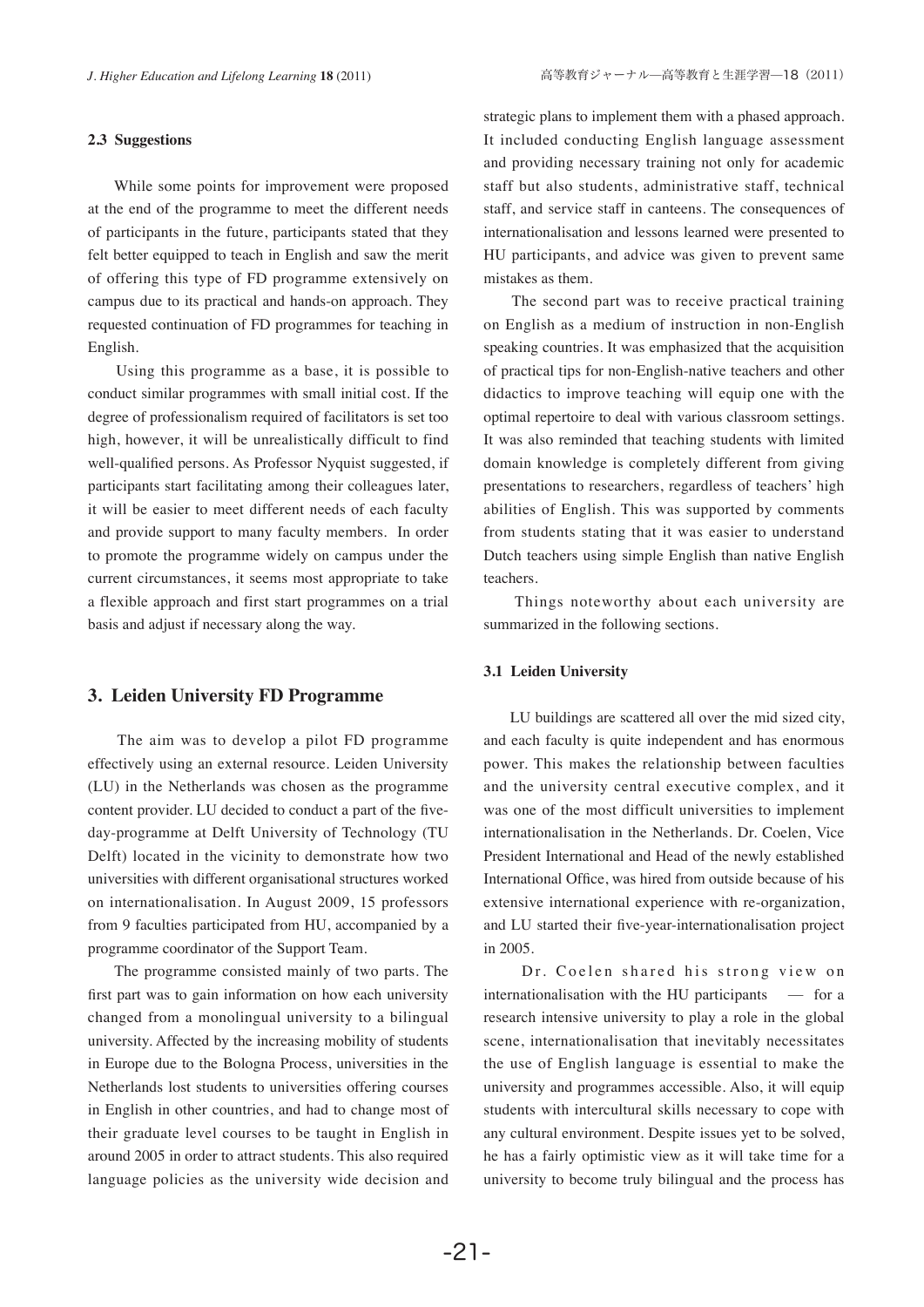#### **2.3 Suggestions**

 While some points for improvement were proposed at the end of the programme to meet the different needs of participants in the future, participants stated that they felt better equipped to teach in English and saw the merit of offering this type of FD programme extensively on campus due to its practical and hands-on approach. They requested continuation of FD programmes for teaching in English.

 Using this programme as a base, it is possible to conduct similar programmes with small initial cost. If the degree of professionalism required of facilitators is set too high, however, it will be unrealistically difficult to find well-qualified persons. As Professor Nyquist suggested, if participants start facilitating among their colleagues later, it will be easier to meet different needs of each faculty and provide support to many faculty members. In order to promote the programme widely on campus under the current circumstances, it seems most appropriate to take a flexible approach and first start programmes on a trial basis and adjust if necessary along the way.

#### **3. Leiden University FD Programme**

 The aim was to develop a pilot FD programme effectively using an external resource. Leiden University (LU) in the Netherlands was chosen as the programme content provider. LU decided to conduct a part of the fiveday-programme at Delft University of Technology (TU Delft) located in the vicinity to demonstrate how two universities with different organisational structures worked on internationalisation. In August 2009, 15 professors from 9 faculties participated from HU, accompanied by a programme coordinator of the Support Team.

 The programme consisted mainly of two parts. The first part was to gain information on how each university changed from a monolingual university to a bilingual university. Affected by the increasing mobility of students in Europe due to the Bologna Process, universities in the Netherlands lost students to universities offering courses in English in other countries, and had to change most of their graduate level courses to be taught in English in around 2005 in order to attract students. This also required language policies as the university wide decision and

strategic plans to implement them with a phased approach. It included conducting English language assessment and providing necessary training not only for academic staff but also students, administrative staff, technical staff, and service staff in canteens. The consequences of internationalisation and lessons learned were presented to HU participants, and advice was given to prevent same mistakes as them.

 The second part was to receive practical training on English as a medium of instruction in non-English speaking countries. It was emphasized that the acquisition of practical tips for non-English-native teachers and other didactics to improve teaching will equip one with the optimal repertoire to deal with various classroom settings. It was also reminded that teaching students with limited domain knowledge is completely different from giving presentations to researchers, regardless of teachers' high abilities of English. This was supported by comments from students stating that it was easier to understand Dutch teachers using simple English than native English teachers.

 Things noteworthy about each university are summarized in the following sections.

#### **3.1 Leiden University**

 LU buildings are scattered all over the mid sized city, and each faculty is quite independent and has enormous power. This makes the relationship between faculties and the university central executive complex, and it was one of the most difficult universities to implement internationalisation in the Netherlands. Dr. Coelen, Vice President International and Head of the newly established International Office, was hired from outside because of his extensive international experience with re-organization, and LU started their five-year-internationalisation project in 2005.

Dr. Coelen shared his strong view on internationalisation with the HU participants  $\overline{\phantom{a}}$  for a research intensive university to play a role in the global scene, internationalisation that inevitably necessitates the use of English language is essential to make the university and programmes accessible. Also, it will equip students with intercultural skills necessary to cope with any cultural environment. Despite issues yet to be solved, he has a fairly optimistic view as it will take time for a university to become truly bilingual and the process has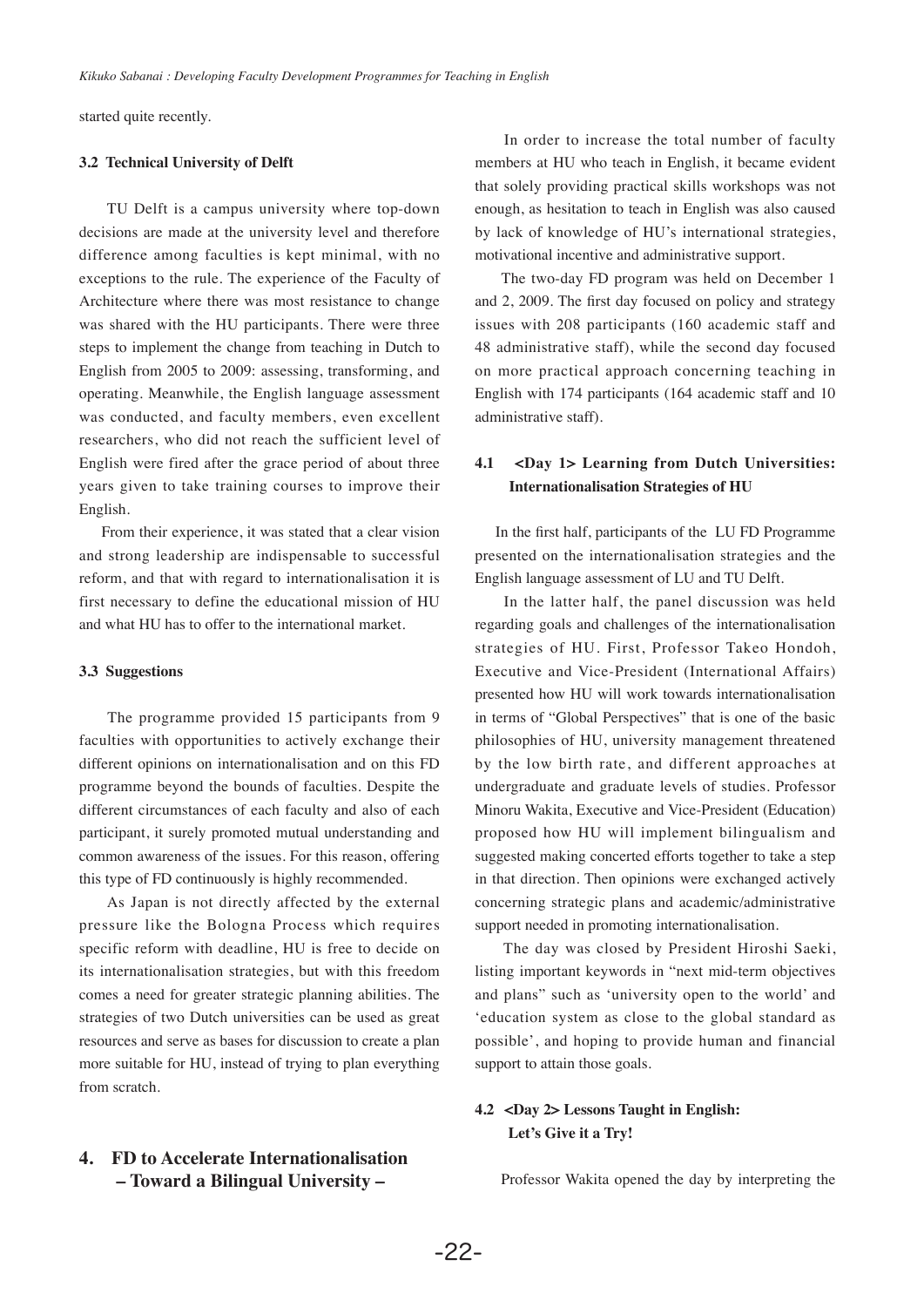started quite recently.

### **3.2 Technical University of Delft**

 TU Delft is a campus university where top-down decisions are made at the university level and therefore difference among faculties is kept minimal, with no exceptions to the rule. The experience of the Faculty of Architecture where there was most resistance to change was shared with the HU participants. There were three steps to implement the change from teaching in Dutch to English from 2005 to 2009: assessing, transforming, and operating. Meanwhile, the English language assessment was conducted, and faculty members, even excellent researchers, who did not reach the sufficient level of English were fired after the grace period of about three years given to take training courses to improve their English.

 From their experience, it was stated that a clear vision and strong leadership are indispensable to successful reform, and that with regard to internationalisation it is first necessary to define the educational mission of HU and what HU has to offer to the international market.

### **3.3 Suggestions**

 The programme provided 15 participants from 9 faculties with opportunities to actively exchange their different opinions on internationalisation and on this FD programme beyond the bounds of faculties. Despite the different circumstances of each faculty and also of each participant, it surely promoted mutual understanding and common awareness of the issues. For this reason, offering this type of FD continuously is highly recommended.

 As Japan is not directly affected by the external pressure like the Bologna Process which requires specific reform with deadline, HU is free to decide on its internationalisation strategies, but with this freedom comes a need for greater strategic planning abilities. The strategies of two Dutch universities can be used as great resources and serve as bases for discussion to create a plan more suitable for HU, instead of trying to plan everything from scratch.

# **4. FD to Accelerate Internationalisation – Toward a Bilingual University –**

 In order to increase the total number of faculty members at HU who teach in English, it became evident that solely providing practical skills workshops was not enough, as hesitation to teach in English was also caused by lack of knowledge of HU's international strategies, motivational incentive and administrative support.

 The two-day FD program was held on December 1 and 2, 2009. The first day focused on policy and strategy issues with 208 participants (160 academic staff and 48 administrative staff), while the second day focused on more practical approach concerning teaching in English with 174 participants (164 academic staff and 10 administrative staff).

## **4.1 <Day 1> Learning from Dutch Universities: Internationalisation Strategies of HU**

In the first half, participants of the LU FD Programme presented on the internationalisation strategies and the English language assessment of LU and TU Delft.

 In the latter half, the panel discussion was held regarding goals and challenges of the internationalisation strategies of HU. First, Professor Takeo Hondoh, Executive and Vice-President (International Affairs) presented how HU will work towards internationalisation in terms of "Global Perspectives" that is one of the basic philosophies of HU, university management threatened by the low birth rate, and different approaches at undergraduate and graduate levels of studies. Professor Minoru Wakita, Executive and Vice-President (Education) proposed how HU will implement bilingualism and suggested making concerted efforts together to take a step in that direction. Then opinions were exchanged actively concerning strategic plans and academic/administrative support needed in promoting internationalisation.

 The day was closed by President Hiroshi Saeki, listing important keywords in "next mid-term objectives and plans" such as 'university open to the world' and 'education system as close to the global standard as possible', and hoping to provide human and financial support to attain those goals.

# **4.2 <Day 2> Lessons Taught in English: Let's Give it a Try!**

Professor Wakita opened the day by interpreting the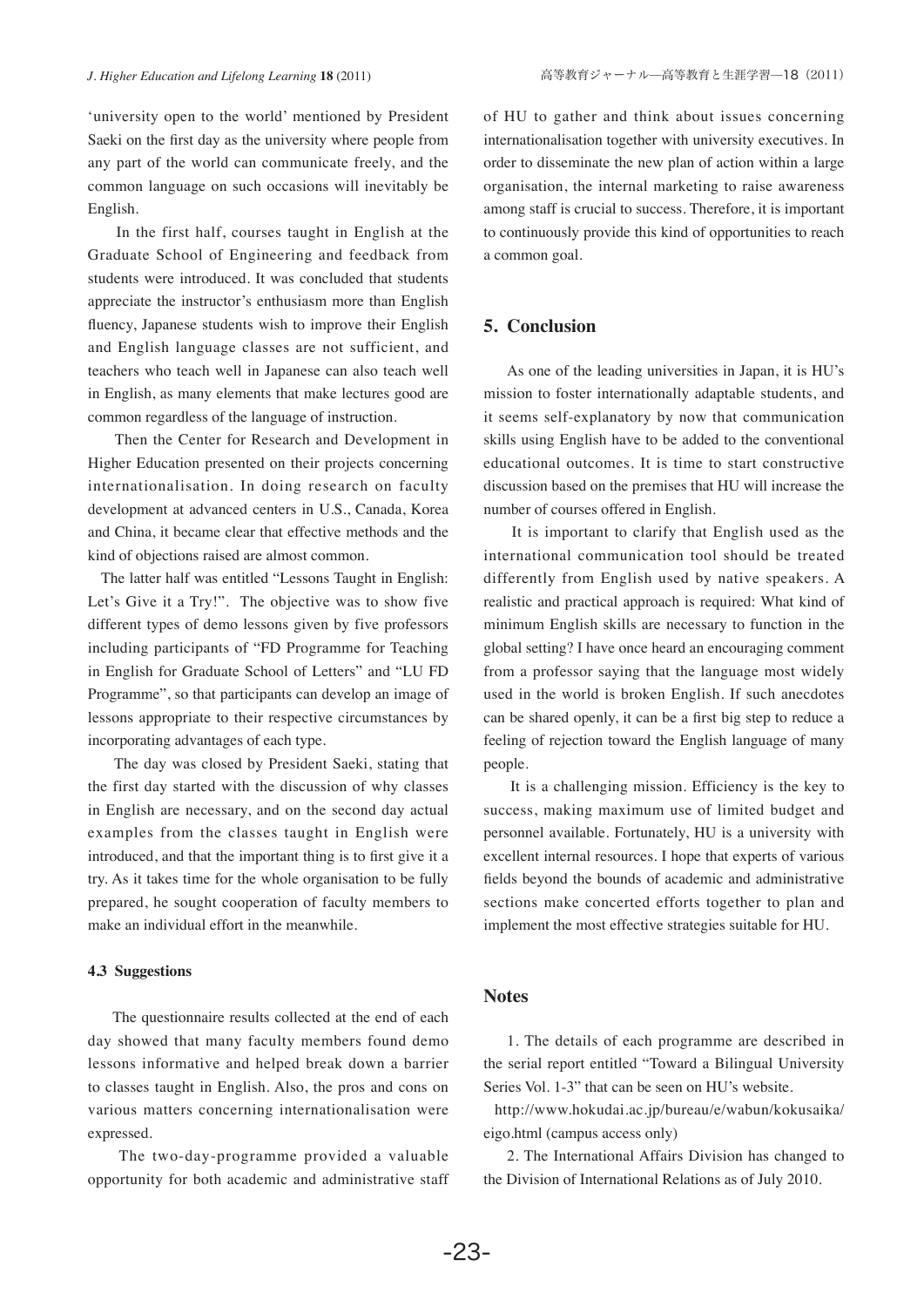'university open to the world' mentioned by President Saeki on the first day as the university where people from any part of the world can communicate freely, and the common language on such occasions will inevitably be English.

 In the first half, courses taught in English at the Graduate School of Engineering and feedback from students were introduced. It was concluded that students appreciate the instructor's enthusiasm more than English fluency, Japanese students wish to improve their English and English language classes are not sufficient, and teachers who teach well in Japanese can also teach well in English, as many elements that make lectures good are common regardless of the language of instruction.

 Then the Center for Research and Development in Higher Education presented on their projects concerning internationalisation. In doing research on faculty development at advanced centers in U.S., Canada, Korea and China, it became clear that effective methods and the kind of objections raised are almost common.

 The latter half was entitled "Lessons Taught in English: Let's Give it a Try!". The objective was to show five different types of demo lessons given by five professors including participants of "FD Programme for Teaching in English for Graduate School of Letters" and "LU FD Programme", so that participants can develop an image of lessons appropriate to their respective circumstances by incorporating advantages of each type.

 The day was closed by President Saeki, stating that the first day started with the discussion of why classes in English are necessary, and on the second day actual examples from the classes taught in English were introduced, and that the important thing is to first give it a try. As it takes time for the whole organisation to be fully prepared, he sought cooperation of faculty members to make an individual effort in the meanwhile.

#### **4.3 Suggestions**

 The questionnaire results collected at the end of each day showed that many faculty members found demo lessons informative and helped break down a barrier to classes taught in English. Also, the pros and cons on various matters concerning internationalisation were expressed.

 The two-day-programme provided a valuable opportunity for both academic and administrative staff of HU to gather and think about issues concerning internationalisation together with university executives. In order to disseminate the new plan of action within a large organisation, the internal marketing to raise awareness among staff is crucial to success. Therefore, it is important to continuously provide this kind of opportunities to reach a common goal.

### **5. Conclusion**

 As one of the leading universities in Japan, it is HU's mission to foster internationally adaptable students, and it seems self-explanatory by now that communication skills using English have to be added to the conventional educational outcomes. It is time to start constructive discussion based on the premises that HU will increase the number of courses offered in English.

 It is important to clarify that English used as the international communication tool should be treated differently from English used by native speakers. A realistic and practical approach is required: What kind of minimum English skills are necessary to function in the global setting? I have once heard an encouraging comment from a professor saying that the language most widely used in the world is broken English. If such anecdotes can be shared openly, it can be a first big step to reduce a feeling of rejection toward the English language of many people.

 It is a challenging mission. Efficiency is the key to success, making maximum use of limited budget and personnel available. Fortunately, HU is a university with excellent internal resources. I hope that experts of various fields beyond the bounds of academic and administrative sections make concerted efforts together to plan and implement the most effective strategies suitable for HU.

## **Notes**

 1. The details of each programme are described in the serial report entitled "Toward a Bilingual University Series Vol. 1-3" that can be seen on HU's website.

 http://www.hokudai.ac.jp/bureau/e/wabun/kokusaika/ eigo.html (campus access only)

 2. The International Affairs Division has changed to the Division of International Relations as of July 2010.